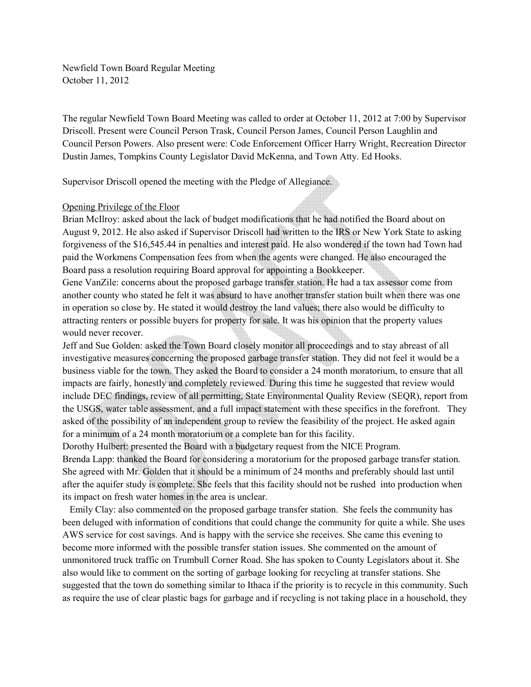Newfield Town Board Regular Meeting October 11, 2012

The regular Newfield Town Board Meeting was called to order at October 11, 2012 at 7:00 by Supervisor Driscoll. Present were Council Person Trask, Council Person James, Council Person Laughlin and Council Person Powers. Also present were: Code Enforcement Officer Harry Wright, Recreation Director Dustin James, Tompkins County Legislator David McKenna, and Town Atty. Ed Hooks.

Supervisor Driscoll opened the meeting with the Pledge of Allegiance.

#### Opening Privilege of the Floor

Brian McIlroy: asked about the lack of budget modifications that he had notified the Board about on August 9, 2012. He also asked if Supervisor Driscoll had written to the IRS or New York State to asking forgiveness of the \$16,545.44 in penalties and interest paid. He also wondered if the town had Town had paid the Workmens Compensation fees from when the agents were changed. He also encouraged the Board pass a resolution requiring Board approval for appointing a Bookkeeper.

Gene VanZile: concerns about the proposed garbage transfer station. He had a tax assessor come from another county who stated he felt it was absurd to have another transfer station built when there was one in operation so close by. He stated it would destroy the land values; there also would be difficulty to attracting renters or possible buyers for property for sale. It was his opinion that the property values would never recover.

Jeff and Sue Golden: asked the Town Board closely monitor all proceedings and to stay abreast of all investigative measures concerning the proposed garbage transfer station. They did not feel it would be a business viable for the town. They asked the Board to consider a 24 month moratorium, to ensure that all impacts are fairly, honestly and completely reviewed. During this time he suggested that review would include DEC findings, review of all permitting, State Environmental Quality Review (SEQR), report from the USGS, water table assessment, and a full impact statement with these specifics in the forefront. They asked of the possibility of an independent group to review the feasibility of the project. He asked again for a minimum of a 24 month moratorium or a complete ban for this facility.

Dorothy Hulbert: presented the Board with a budgetary request from the NICE Program.

Brenda Lapp: thanked the Board for considering a moratorium for the proposed garbage transfer station. She agreed with Mr. Golden that it should be a minimum of 24 months and preferably should last until after the aquifer study is complete. She feels that this facility should not be rushed into production when its impact on fresh water homes in the area is unclear.

 Emily Clay: also commented on the proposed garbage transfer station. She feels the community has been deluged with information of conditions that could change the community for quite a while. She uses AWS service for cost savings. And is happy with the service she receives. She came this evening to become more informed with the possible transfer station issues. She commented on the amount of unmonitored truck traffic on Trumbull Corner Road. She has spoken to County Legislators about it. She also would like to comment on the sorting of garbage looking for recycling at transfer stations. She suggested that the town do something similar to Ithaca if the priority is to recycle in this community. Such as require the use of clear plastic bags for garbage and if recycling is not taking place in a household, they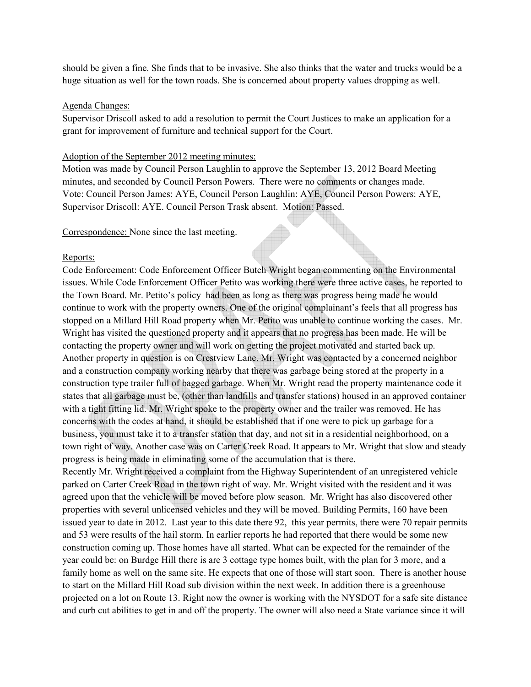should be given a fine. She finds that to be invasive. She also thinks that the water and trucks would be a huge situation as well for the town roads. She is concerned about property values dropping as well.

#### Agenda Changes:

Supervisor Driscoll asked to add a resolution to permit the Court Justices to make an application for a grant for improvement of furniture and technical support for the Court.

#### Adoption of the September 2012 meeting minutes:

Motion was made by Council Person Laughlin to approve the September 13, 2012 Board Meeting minutes, and seconded by Council Person Powers. There were no comments or changes made. Vote: Council Person James: AYE, Council Person Laughlin: AYE, Council Person Powers: AYE, Supervisor Driscoll: AYE. Council Person Trask absent. Motion: Passed.

Correspondence: None since the last meeting.

#### Reports:

Code Enforcement: Code Enforcement Officer Butch Wright began commenting on the Environmental issues. While Code Enforcement Officer Petito was working there were three active cases, he reported to the Town Board. Mr. Petito's policy had been as long as there was progress being made he would continue to work with the property owners. One of the original complainant's feels that all progress has stopped on a Millard Hill Road property when Mr. Petito was unable to continue working the cases. Mr. Wright has visited the questioned property and it appears that no progress has been made. He will be contacting the property owner and will work on getting the project motivated and started back up. Another property in question is on Crestview Lane. Mr. Wright was contacted by a concerned neighbor and a construction company working nearby that there was garbage being stored at the property in a construction type trailer full of bagged garbage. When Mr. Wright read the property maintenance code it states that all garbage must be, (other than landfills and transfer stations) housed in an approved container with a tight fitting lid. Mr. Wright spoke to the property owner and the trailer was removed. He has concerns with the codes at hand, it should be established that if one were to pick up garbage for a business, you must take it to a transfer station that day, and not sit in a residential neighborhood, on a town right of way. Another case was on Carter Creek Road. It appears to Mr. Wright that slow and steady progress is being made in eliminating some of the accumulation that is there.

Recently Mr. Wright received a complaint from the Highway Superintendent of an unregistered vehicle parked on Carter Creek Road in the town right of way. Mr. Wright visited with the resident and it was agreed upon that the vehicle will be moved before plow season. Mr. Wright has also discovered other properties with several unlicensed vehicles and they will be moved. Building Permits, 160 have been issued year to date in 2012. Last year to this date there 92, this year permits, there were 70 repair permits and 53 were results of the hail storm. In earlier reports he had reported that there would be some new construction coming up. Those homes have all started. What can be expected for the remainder of the year could be: on Burdge Hill there is are 3 cottage type homes built, with the plan for 3 more, and a family home as well on the same site. He expects that one of those will start soon. There is another house to start on the Millard Hill Road sub division within the next week. In addition there is a greenhouse projected on a lot on Route 13. Right now the owner is working with the NYSDOT for a safe site distance and curb cut abilities to get in and off the property. The owner will also need a State variance since it will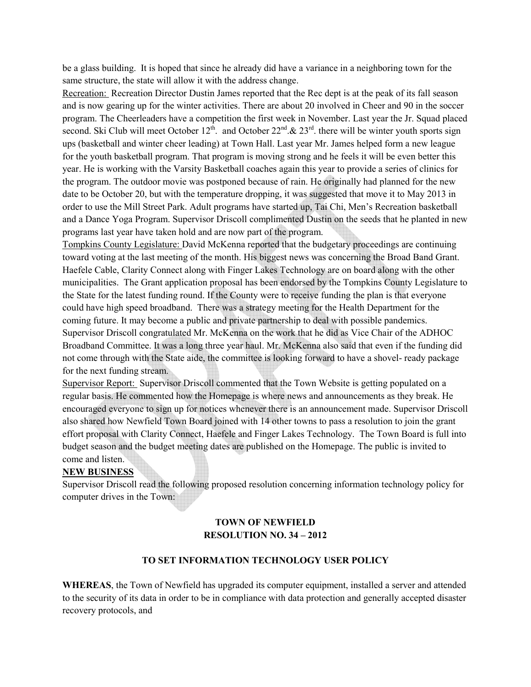be a glass building. It is hoped that since he already did have a variance in a neighboring town for the same structure, the state will allow it with the address change.

Recreation: Recreation Director Dustin James reported that the Rec dept is at the peak of its fall season and is now gearing up for the winter activities. There are about 20 involved in Cheer and 90 in the soccer program. The Cheerleaders have a competition the first week in November. Last year the Jr. Squad placed second. Ski Club will meet October  $12^{th}$ . and October  $22^{nd}$ . &  $23^{rd}$ . there will be winter youth sports sign ups (basketball and winter cheer leading) at Town Hall. Last year Mr. James helped form a new league for the youth basketball program. That program is moving strong and he feels it will be even better this year. He is working with the Varsity Basketball coaches again this year to provide a series of clinics for the program. The outdoor movie was postponed because of rain. He originally had planned for the new date to be October 20, but with the temperature dropping, it was suggested that move it to May 2013 in order to use the Mill Street Park. Adult programs have started up, Tai Chi, Men's Recreation basketball and a Dance Yoga Program. Supervisor Driscoll complimented Dustin on the seeds that he planted in new programs last year have taken hold and are now part of the program.

Tompkins County Legislature: David McKenna reported that the budgetary proceedings are continuing toward voting at the last meeting of the month. His biggest news was concerning the Broad Band Grant. Haefele Cable, Clarity Connect along with Finger Lakes Technology are on board along with the other municipalities. The Grant application proposal has been endorsed by the Tompkins County Legislature to the State for the latest funding round. If the County were to receive funding the plan is that everyone could have high speed broadband. There was a strategy meeting for the Health Department for the coming future. It may become a public and private partnership to deal with possible pandemics. Supervisor Driscoll congratulated Mr. McKenna on the work that he did as Vice Chair of the ADHOC Broadband Committee. It was a long three year haul. Mr. McKenna also said that even if the funding did not come through with the State aide, the committee is looking forward to have a shovel- ready package for the next funding stream.

Supervisor Report: Supervisor Driscoll commented that the Town Website is getting populated on a regular basis. He commented how the Homepage is where news and announcements as they break. He encouraged everyone to sign up for notices whenever there is an announcement made. Supervisor Driscoll also shared how Newfield Town Board joined with 14 other towns to pass a resolution to join the grant effort proposal with Clarity Connect, Haefele and Finger Lakes Technology. The Town Board is full into budget season and the budget meeting dates are published on the Homepage. The public is invited to come and listen.

# **NEW BUSINESS**

Supervisor Driscoll read the following proposed resolution concerning information technology policy for computer drives in the Town:

### **TOWN OF NEWFIELD RESOLUTION NO. 34 – 2012**

### **TO SET INFORMATION TECHNOLOGY USER POLICY**

**WHEREAS**, the Town of Newfield has upgraded its computer equipment, installed a server and attended to the security of its data in order to be in compliance with data protection and generally accepted disaster recovery protocols, and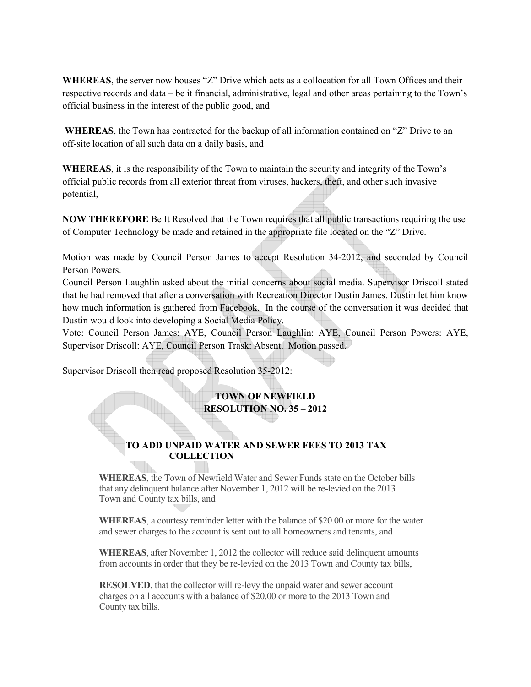**WHEREAS**, the server now houses "Z" Drive which acts as a collocation for all Town Offices and their respective records and data – be it financial, administrative, legal and other areas pertaining to the Town's official business in the interest of the public good, and

**WHEREAS**, the Town has contracted for the backup of all information contained on "Z" Drive to an off-site location of all such data on a daily basis, and

**WHEREAS**, it is the responsibility of the Town to maintain the security and integrity of the Town's official public records from all exterior threat from viruses, hackers, theft, and other such invasive potential,

**NOW THEREFORE** Be It Resolved that the Town requires that all public transactions requiring the use of Computer Technology be made and retained in the appropriate file located on the "Z" Drive.

Motion was made by Council Person James to accept Resolution 34-2012, and seconded by Council Person Powers.

Council Person Laughlin asked about the initial concerns about social media. Supervisor Driscoll stated that he had removed that after a conversation with Recreation Director Dustin James. Dustin let him know how much information is gathered from Facebook. In the course of the conversation it was decided that Dustin would look into developing a Social Media Policy.

Vote: Council Person James: AYE, Council Person Laughlin: AYE, Council Person Powers: AYE, Supervisor Driscoll: AYE, Council Person Trask: Absent. Motion passed.

Supervisor Driscoll then read proposed Resolution 35-2012:

# **TOWN OF NEWFIELD RESOLUTION NO. 35 – 2012**

# **TO ADD UNPAID WATER AND SEWER FEES TO 2013 TAX COLLECTION**

**WHEREAS**, the Town of Newfield Water and Sewer Funds state on the October bills that any delinquent balance after November 1, 2012 will be re-levied on the 2013 Town and County tax bills, and

**WHEREAS**, a courtesy reminder letter with the balance of \$20.00 or more for the water and sewer charges to the account is sent out to all homeowners and tenants, and

**WHEREAS**, after November 1, 2012 the collector will reduce said delinquent amounts from accounts in order that they be re-levied on the 2013 Town and County tax bills,

**RESOLVED**, that the collector will re-levy the unpaid water and sewer account charges on all accounts with a balance of \$20.00 or more to the 2013 Town and County tax bills.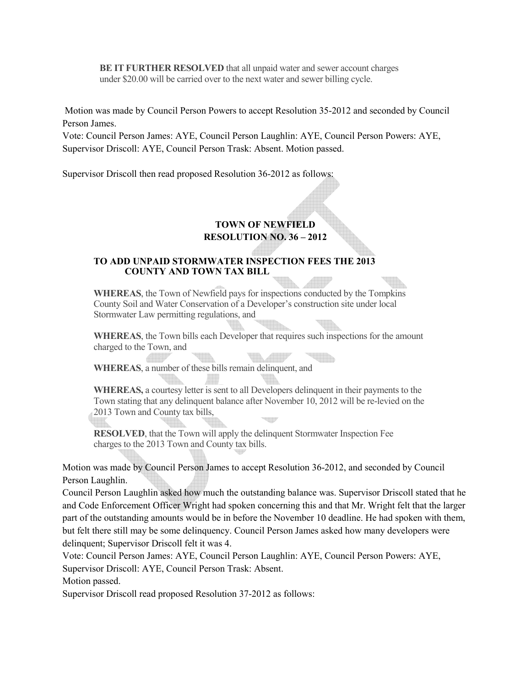**BE IT FURTHER RESOLVED** that all unpaid water and sewer account charges under \$20.00 will be carried over to the next water and sewer billing cycle.

Motion was made by Council Person Powers to accept Resolution 35-2012 and seconded by Council Person James.

Vote: Council Person James: AYE, Council Person Laughlin: AYE, Council Person Powers: AYE, Supervisor Driscoll: AYE, Council Person Trask: Absent. Motion passed.

Supervisor Driscoll then read proposed Resolution 36-2012 as follows:

# **TOWN OF NEWFIELD RESOLUTION NO. 36 – 2012**

#### **TO ADD UNPAID STORMWATER INSPECTION FEES THE 2013 COUNTY AND TOWN TAX BILL**

**WHEREAS**, the Town of Newfield pays for inspections conducted by the Tompkins County Soil and Water Conservation of a Developer's construction site under local Stormwater Law permitting regulations, and

**WHEREAS**, the Town bills each Developer that requires such inspections for the amount charged to the Town, and

**WHEREAS**, a number of these bills remain delinquent, and

**WHEREAS,** a courtesy letter is sent to all Developers delinquent in their payments to the Town stating that any delinquent balance after November 10, 2012 will be re-levied on the 2013 Town and County tax bills,

**RESOLVED**, that the Town will apply the delinquent Stormwater Inspection Fee charges to the 2013 Town and County tax bills.

Motion was made by Council Person James to accept Resolution 36-2012, and seconded by Council Person Laughlin.

Council Person Laughlin asked how much the outstanding balance was. Supervisor Driscoll stated that he and Code Enforcement Officer Wright had spoken concerning this and that Mr. Wright felt that the larger part of the outstanding amounts would be in before the November 10 deadline. He had spoken with them, but felt there still may be some delinquency. Council Person James asked how many developers were delinquent; Supervisor Driscoll felt it was 4.

Vote: Council Person James: AYE, Council Person Laughlin: AYE, Council Person Powers: AYE, Supervisor Driscoll: AYE, Council Person Trask: Absent.

Motion passed.

Supervisor Driscoll read proposed Resolution 37-2012 as follows: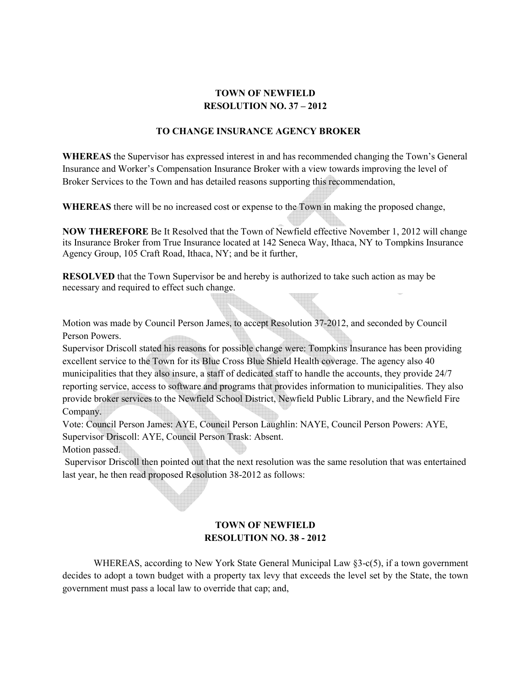# **TOWN OF NEWFIELD RESOLUTION NO. 37 – 2012**

#### **TO CHANGE INSURANCE AGENCY BROKER**

**WHEREAS** the Supervisor has expressed interest in and has recommended changing the Town's General Insurance and Worker's Compensation Insurance Broker with a view towards improving the level of Broker Services to the Town and has detailed reasons supporting this recommendation,

**WHEREAS** there will be no increased cost or expense to the Town in making the proposed change,

**NOW THEREFORE** Be It Resolved that the Town of Newfield effective November 1, 2012 will change its Insurance Broker from True Insurance located at 142 Seneca Way, Ithaca, NY to Tompkins Insurance Agency Group, 105 Craft Road, Ithaca, NY; and be it further,

**RESOLVED** that the Town Supervisor be and hereby is authorized to take such action as may be necessary and required to effect such change.

Motion was made by Council Person James, to accept Resolution 37-2012, and seconded by Council Person Powers.

Supervisor Driscoll stated his reasons for possible change were: Tompkins Insurance has been providing excellent service to the Town for its Blue Cross Blue Shield Health coverage. The agency also 40 municipalities that they also insure, a staff of dedicated staff to handle the accounts, they provide 24/7 reporting service, access to software and programs that provides information to municipalities. They also provide broker services to the Newfield School District, Newfield Public Library, and the Newfield Fire Company.

Vote: Council Person James: AYE, Council Person Laughlin: NAYE, Council Person Powers: AYE, Supervisor Driscoll: AYE, Council Person Trask: Absent.

Motion passed.

 Supervisor Driscoll then pointed out that the next resolution was the same resolution that was entertained last year, he then read proposed Resolution 38-2012 as follows:

# **TOWN OF NEWFIELD RESOLUTION NO. 38 - 2012**

WHEREAS, according to New York State General Municipal Law §3-c(5), if a town government decides to adopt a town budget with a property tax levy that exceeds the level set by the State, the town government must pass a local law to override that cap; and,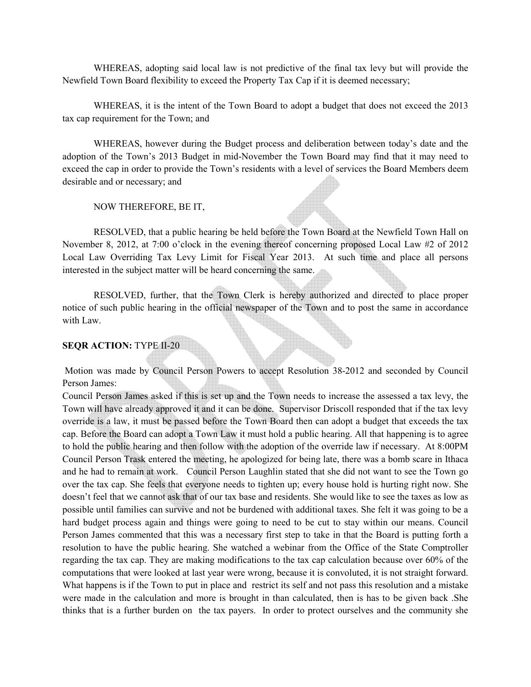WHEREAS, adopting said local law is not predictive of the final tax levy but will provide the Newfield Town Board flexibility to exceed the Property Tax Cap if it is deemed necessary;

 WHEREAS, it is the intent of the Town Board to adopt a budget that does not exceed the 2013 tax cap requirement for the Town; and

 WHEREAS, however during the Budget process and deliberation between today's date and the adoption of the Town's 2013 Budget in mid-November the Town Board may find that it may need to exceed the cap in order to provide the Town's residents with a level of services the Board Members deem desirable and or necessary; and

NOW THEREFORE, BE IT,

 RESOLVED, that a public hearing be held before the Town Board at the Newfield Town Hall on November 8, 2012, at 7:00 o'clock in the evening thereof concerning proposed Local Law #2 of 2012 Local Law Overriding Tax Levy Limit for Fiscal Year 2013. At such time and place all persons interested in the subject matter will be heard concerning the same.

 RESOLVED, further, that the Town Clerk is hereby authorized and directed to place proper notice of such public hearing in the official newspaper of the Town and to post the same in accordance with Law.

# **SEQR ACTION:** TYPE II-20

 Motion was made by Council Person Powers to accept Resolution 38-2012 and seconded by Council Person James:

Council Person James asked if this is set up and the Town needs to increase the assessed a tax levy, the Town will have already approved it and it can be done. Supervisor Driscoll responded that if the tax levy override is a law, it must be passed before the Town Board then can adopt a budget that exceeds the tax cap. Before the Board can adopt a Town Law it must hold a public hearing. All that happening is to agree to hold the public hearing and then follow with the adoption of the override law if necessary. At 8:00PM Council Person Trask entered the meeting, he apologized for being late, there was a bomb scare in Ithaca and he had to remain at work. Council Person Laughlin stated that she did not want to see the Town go over the tax cap. She feels that everyone needs to tighten up; every house hold is hurting right now. She doesn't feel that we cannot ask that of our tax base and residents. She would like to see the taxes as low as possible until families can survive and not be burdened with additional taxes. She felt it was going to be a hard budget process again and things were going to need to be cut to stay within our means. Council Person James commented that this was a necessary first step to take in that the Board is putting forth a resolution to have the public hearing. She watched a webinar from the Office of the State Comptroller regarding the tax cap. They are making modifications to the tax cap calculation because over 60% of the computations that were looked at last year were wrong, because it is convoluted, it is not straight forward. What happens is if the Town to put in place and restrict its self and not pass this resolution and a mistake were made in the calculation and more is brought in than calculated, then is has to be given back .She thinks that is a further burden on the tax payers. In order to protect ourselves and the community she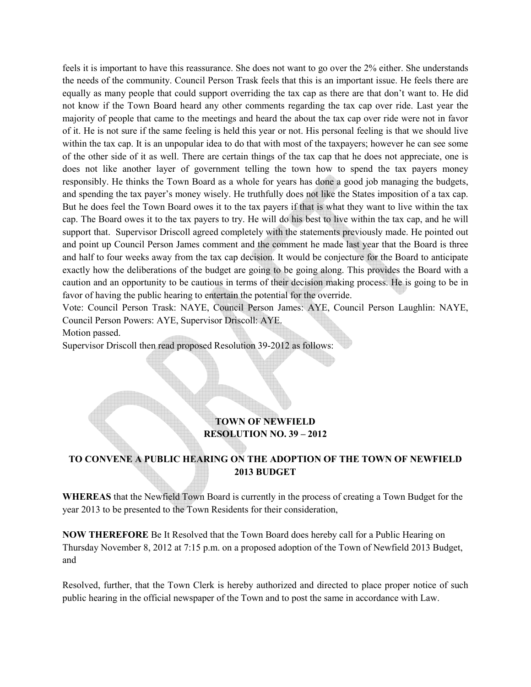feels it is important to have this reassurance. She does not want to go over the 2% either. She understands the needs of the community. Council Person Trask feels that this is an important issue. He feels there are equally as many people that could support overriding the tax cap as there are that don't want to. He did not know if the Town Board heard any other comments regarding the tax cap over ride. Last year the majority of people that came to the meetings and heard the about the tax cap over ride were not in favor of it. He is not sure if the same feeling is held this year or not. His personal feeling is that we should live within the tax cap. It is an unpopular idea to do that with most of the taxpayers; however he can see some of the other side of it as well. There are certain things of the tax cap that he does not appreciate, one is does not like another layer of government telling the town how to spend the tax payers money responsibly. He thinks the Town Board as a whole for years has done a good job managing the budgets, and spending the tax payer's money wisely. He truthfully does not like the States imposition of a tax cap. But he does feel the Town Board owes it to the tax payers if that is what they want to live within the tax cap. The Board owes it to the tax payers to try. He will do his best to live within the tax cap, and he will support that. Supervisor Driscoll agreed completely with the statements previously made. He pointed out and point up Council Person James comment and the comment he made last year that the Board is three and half to four weeks away from the tax cap decision. It would be conjecture for the Board to anticipate exactly how the deliberations of the budget are going to be going along. This provides the Board with a caution and an opportunity to be cautious in terms of their decision making process. He is going to be in favor of having the public hearing to entertain the potential for the override.

Vote: Council Person Trask: NAYE, Council Person James: AYE, Council Person Laughlin: NAYE, Council Person Powers: AYE, Supervisor Driscoll: AYE.

Motion passed.

Supervisor Driscoll then read proposed Resolution 39-2012 as follows:

### **TOWN OF NEWFIELD RESOLUTION NO. 39 – 2012**

### **TO CONVENE A PUBLIC HEARING ON THE ADOPTION OF THE TOWN OF NEWFIELD 2013 BUDGET**

**WHEREAS** that the Newfield Town Board is currently in the process of creating a Town Budget for the year 2013 to be presented to the Town Residents for their consideration,

**NOW THEREFORE** Be It Resolved that the Town Board does hereby call for a Public Hearing on Thursday November 8, 2012 at 7:15 p.m. on a proposed adoption of the Town of Newfield 2013 Budget, and

Resolved, further, that the Town Clerk is hereby authorized and directed to place proper notice of such public hearing in the official newspaper of the Town and to post the same in accordance with Law.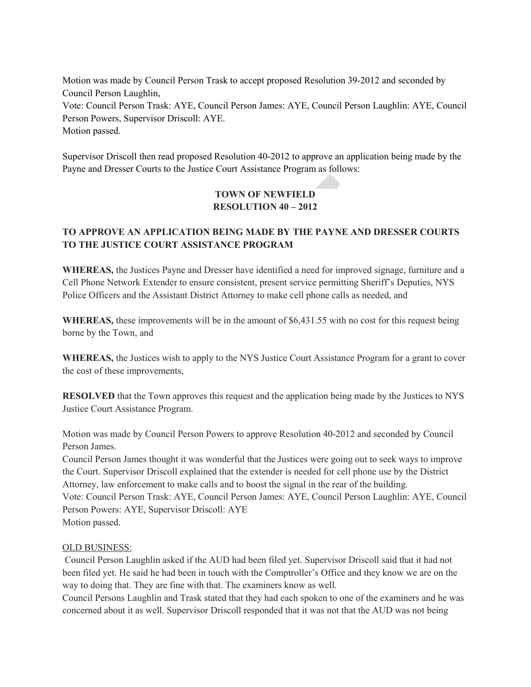Motion was made by Council Person Trask to accept proposed Resolution 39-2012 and seconded by Council Person Laughlin,

Vote: Council Person Trask: AYE, Council Person James: AYE, Council Person Laughlin: AYE, Council Person Powers, Supervisor Driscoll: AYE. Motion passed.

Supervisor Driscoll then read proposed Resolution 40-2012 to approve an application being made by the Payne and Dresser Courts to the Justice Court Assistance Program as follows:

# **TOWN OF NEWFIELD RESOLUTION 40 – 2012**

### **TO APPROVE AN APPLICATION BEING MADE BY THE PAYNE AND DRESSER COURTS TO THE JUSTICE COURT ASSISTANCE PROGRAM**

**WHEREAS,** the Justices Payne and Dresser have identified a need for improved signage, furniture and a Cell Phone Network Extender to ensure consistent, present service permitting Sheriff's Deputies, NYS Police Officers and the Assistant District Attorney to make cell phone calls as needed, and

**WHEREAS,** these improvements will be in the amount of \$6,431.55 with no cost for this request being borne by the Town, and

**WHEREAS,** the Justices wish to apply to the NYS Justice Court Assistance Program for a grant to cover the cost of these improvements,

**RESOLVED** that the Town approves this request and the application being made by the Justices to NYS Justice Court Assistance Program.

Motion was made by Council Person Powers to approve Resolution 40-2012 and seconded by Council Person James.

Council Person James thought it was wonderful that the Justices were going out to seek ways to improve the Court. Supervisor Driscoll explained that the extender is needed for cell phone use by the District Attorney, law enforcement to make calls and to boost the signal in the rear of the building. Vote: Council Person Trask: AYE, Council Person James: AYE, Council Person Laughlin: AYE, Council Person Powers: AYE, Supervisor Driscoll: AYE Motion passed.

#### OLD BUSINESS:

 Council Person Laughlin asked if the AUD had been filed yet. Supervisor Driscoll said that it had not been filed yet. He said he had been in touch with the Comptroller's Office and they know we are on the way to doing that. They are fine with that. The examiners know as well.

Council Persons Laughlin and Trask stated that they had each spoken to one of the examiners and he was concerned about it as well. Supervisor Driscoll responded that it was not that the AUD was not being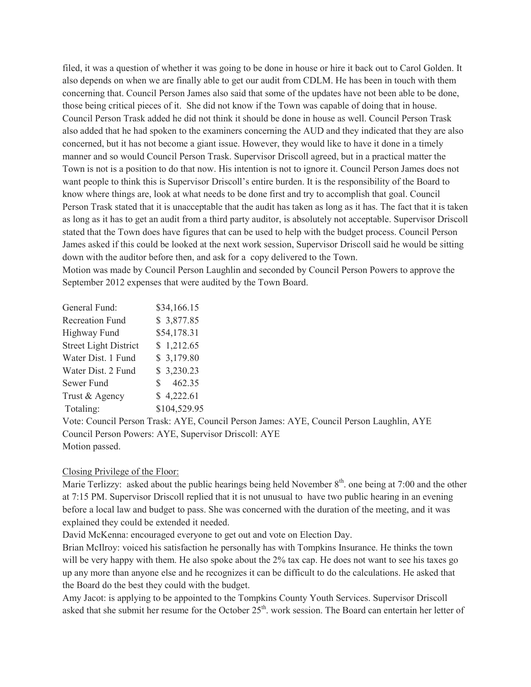filed, it was a question of whether it was going to be done in house or hire it back out to Carol Golden. It also depends on when we are finally able to get our audit from CDLM. He has been in touch with them concerning that. Council Person James also said that some of the updates have not been able to be done, those being critical pieces of it. She did not know if the Town was capable of doing that in house. Council Person Trask added he did not think it should be done in house as well. Council Person Trask also added that he had spoken to the examiners concerning the AUD and they indicated that they are also concerned, but it has not become a giant issue. However, they would like to have it done in a timely manner and so would Council Person Trask. Supervisor Driscoll agreed, but in a practical matter the Town is not is a position to do that now. His intention is not to ignore it. Council Person James does not want people to think this is Supervisor Driscoll's entire burden. It is the responsibility of the Board to know where things are, look at what needs to be done first and try to accomplish that goal. Council Person Trask stated that it is unacceptable that the audit has taken as long as it has. The fact that it is taken as long as it has to get an audit from a third party auditor, is absolutely not acceptable. Supervisor Driscoll stated that the Town does have figures that can be used to help with the budget process. Council Person James asked if this could be looked at the next work session, Supervisor Driscoll said he would be sitting down with the auditor before then, and ask for a copy delivered to the Town.

Motion was made by Council Person Laughlin and seconded by Council Person Powers to approve the September 2012 expenses that were audited by the Town Board.

| General Fund:                | \$34,166.15            |
|------------------------------|------------------------|
| <b>Recreation Fund</b>       | \$3,877.85             |
| Highway Fund                 | \$54,178.31            |
| <b>Street Light District</b> | \$1,212.65             |
| Water Dist. 1 Fund           | \$3,179.80             |
| Water Dist. 2 Fund           | \$3,230.23             |
| Sewer Fund                   | 462.35<br>$\mathbb{S}$ |
| Trust & Agency               | \$4,222.61             |
| Totaling:                    | \$104,529.95           |

Vote: Council Person Trask: AYE, Council Person James: AYE, Council Person Laughlin, AYE Council Person Powers: AYE, Supervisor Driscoll: AYE Motion passed.

#### Closing Privilege of the Floor:

Marie Terlizzy: asked about the public hearings being held November  $8<sup>th</sup>$ . one being at 7:00 and the other at 7:15 PM. Supervisor Driscoll replied that it is not unusual to have two public hearing in an evening before a local law and budget to pass. She was concerned with the duration of the meeting, and it was explained they could be extended it needed.

David McKenna: encouraged everyone to get out and vote on Election Day.

Brian McIlroy: voiced his satisfaction he personally has with Tompkins Insurance. He thinks the town will be very happy with them. He also spoke about the 2% tax cap. He does not want to see his taxes go up any more than anyone else and he recognizes it can be difficult to do the calculations. He asked that the Board do the best they could with the budget.

Amy Jacot: is applying to be appointed to the Tompkins County Youth Services. Supervisor Driscoll asked that she submit her resume for the October 25<sup>th</sup>. work session. The Board can entertain her letter of